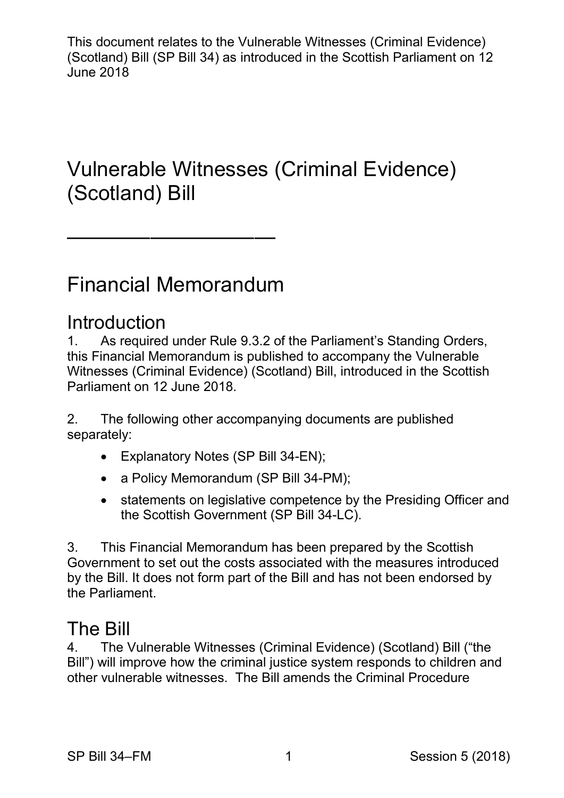This document relates to the Vulnerable Witnesses (Criminal Evidence) (Scotland) Bill (SP Bill 34) as introduced in the Scottish Parliament on 12 June 2018

# (Scotland) Bill Vulnerable Witnesses (Criminal Evidence)

# Financial Memorandum

——————————

# **Introduction**<br>1 As required

 1. As required under Rule 9.3.2 of the Parliament's Standing Orders, this Financial Memorandum is published to accompany the Vulnerable Witnesses (Criminal Evidence) (Scotland) Bill, introduced in the Scottish Parliament on 12 June 2018.

2. The following other accompanying documents are published separately:

- Explanatory Notes (SP Bill 34-EN);
- a Policy Memorandum (SP Bill 34-PM);
- the Scottish Government (SP Bill 34-LC). • statements on legislative competence by the Presiding Officer and

 Government to set out the costs associated with the measures introduced by the Bill. It does not form part of the Bill and has not been endorsed by 3. This Financial Memorandum has been prepared by the Scottish the Parliament.

# The Bill

 Bill") will improve how the criminal justice system responds to children and 4. The Vulnerable Witnesses (Criminal Evidence) (Scotland) Bill ("the other vulnerable witnesses. The Bill amends the Criminal Procedure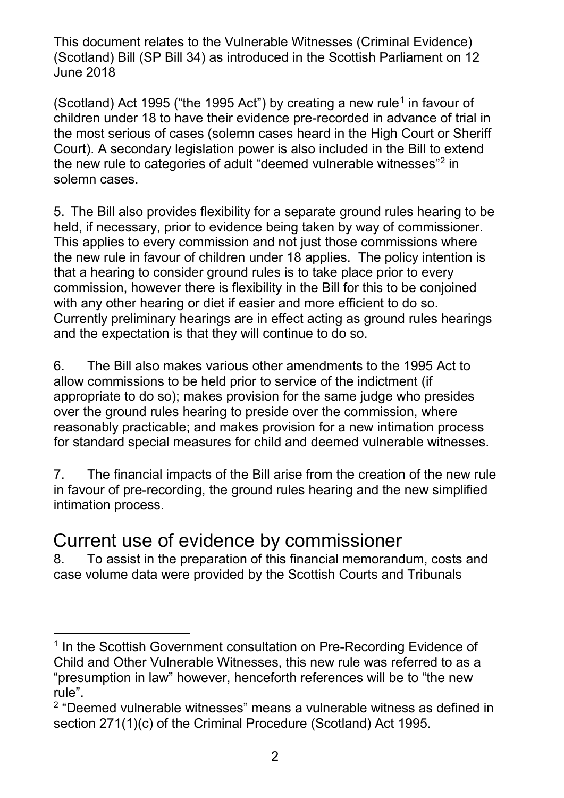(Scotland) Act [1](#page-1-0)995 ("the 1995 Act") by creating a new rule<sup>1</sup> in favour of the most serious of cases (solemn cases heard in the High Court or Sheriff the new rule to categories of adult "deemed vulnerable witnesses" $^{\rm 2}$  $^{\rm 2}$  $^{\rm 2}$  in solemn cases. children under 18 to have their evidence pre-recorded in advance of trial in Court). A secondary legislation power is also included in the Bill to extend

 5. The Bill also provides flexibility for a separate ground rules hearing to be held, if necessary, prior to evidence being taken by way of commissioner. This applies to every commission and not just those commissions where that a hearing to consider ground rules is to take place prior to every commission, however there is flexibility in the Bill for this to be conjoined with any other hearing or diet if easier and more efficient to do so. the new rule in favour of children under 18 applies. The policy intention is Currently preliminary hearings are in effect acting as ground rules hearings and the expectation is that they will continue to do so.

 6. The Bill also makes various other amendments to the 1995 Act to for standard special measures for child and deemed vulnerable witnesses. allow commissions to be held prior to service of the indictment (if appropriate to do so); makes provision for the same judge who presides over the ground rules hearing to preside over the commission, where reasonably practicable; and makes provision for a new intimation process

 7. The financial impacts of the Bill arise from the creation of the new rule in favour of pre-recording, the ground rules hearing and the new simplified intimation process.

# intimation process.<br>Current use of evidence by commissioner

8. To assist in the preparation of this financial memorandum, costs and case volume data were provided by the Scottish Courts and Tribunals

<span id="page-1-0"></span><sup>-</sup><sup>1</sup> In the Scottish Government consultation on Pre-Recording Evidence of Child and Other Vulnerable Witnesses, this new rule was referred to as a "presumption in law" however, henceforth references will be to "the new rule".

<span id="page-1-1"></span> $2$  "Deemed vulnerable witnesses" means a vulnerable witness as defined in section 271(1)(c) of the Criminal Procedure (Scotland) Act 1995.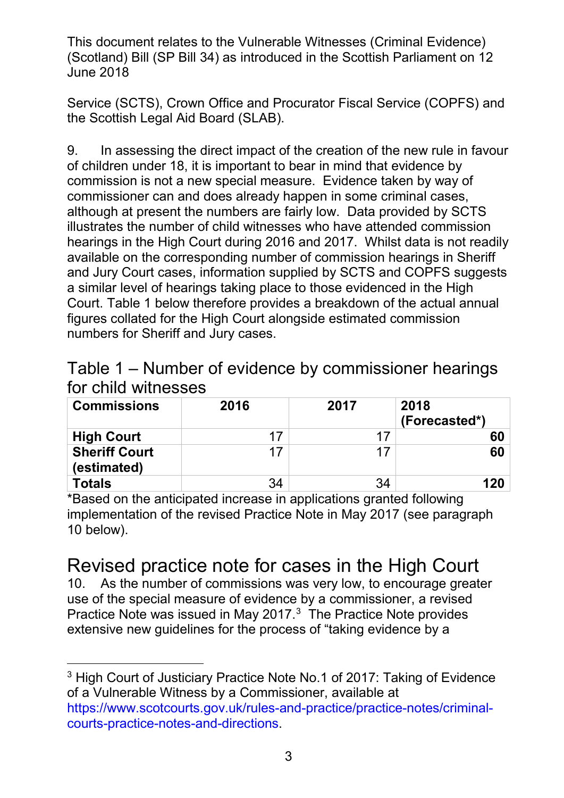the Scottish Legal Aid Board (SLAB). Service (SCTS), Crown Office and Procurator Fiscal Service (COPFS) and

 9. In assessing the direct impact of the creation of the new rule in favour commission is not a new special measure. Evidence taken by way of commissioner can and does already happen in some criminal cases, hearings in the High Court during 2016 and 2017. Whilst data is not readily available on the corresponding number of commission hearings in Sheriff and Jury Court cases, information supplied by SCTS and COPFS suggests a similar level of hearings taking place to those evidenced in the High figures collated for the High Court alongside estimated commission of children under 18, it is important to bear in mind that evidence by although at present the numbers are fairly low. Data provided by SCTS illustrates the number of child witnesses who have attended commission Court. Table 1 below therefore provides a breakdown of the actual annual numbers for Sheriff and Jury cases.

| Table 1 – Number of evidence by commissioner hearings |  |
|-------------------------------------------------------|--|
| for child witnesses                                   |  |

| <b>Commissions</b>                  | 2016 | 2017 | 2018<br>(Forecasted*) |
|-------------------------------------|------|------|-----------------------|
| <b>High Court</b>                   | 17   | 17   | 60                    |
| <b>Sheriff Court</b><br>(estimated) | 17   | 17   | 60                    |
| <b>Totals</b>                       | 34   | 34   | 120                   |

 \*Based on the anticipated increase in applications granted following implementation of the revised Practice Note in May 2017 (see paragraph 10 below).

# <sub>10 below).</sub><br>Revised practice note for cases in the High Court

 use of the special measure of evidence by a commissioner, a revised Practice Note was issued in May 2017. $3$  The Practice Note provides 10. As the number of commissions was very low, to encourage greater extensive new guidelines for the process of "taking evidence by a

-

<span id="page-2-0"></span> $^3$  High Court of Justiciary Practice Note No.1 of 2017: Taking of Evidence of a Vulnerable Witness by a Commissioner, available at [https://www.scotcourts.gov.uk/rules-and-practice/practice-notes/criminal](https://www.scotcourts.gov.uk/rules-and-practice/practice-notes/criminal-courts-practice-notes-and-directions)[courts-practice-notes-and-directions.](https://www.scotcourts.gov.uk/rules-and-practice/practice-notes/criminal-courts-practice-notes-and-directions)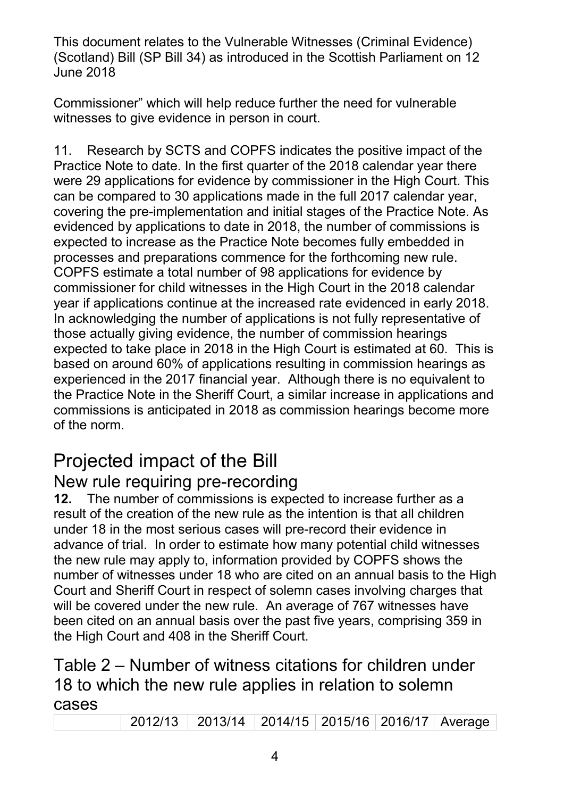Commissioner" which will help reduce further the need for vulnerable witnesses to give evidence in person in court.

witnesses to give evidence in person in court.<br>11. Research by SCTS and COPFS indicates the positive impact of the can be compared to 30 applications made in the full 2017 calendar year, expected to increase as the Practice Note becomes fully embedded in commissioner for child witnesses in the High Court in the 2018 calendar expected to take place in 2018 in the High Court is estimated at 60. This is experienced in the 2017 financial year. Although there is no equivalent to the Practice Note in the Sheriff Court, a similar increase in applications and of the norm. Practice Note to date. In the first quarter of the 2018 calendar year there were 29 applications for evidence by commissioner in the High Court. This covering the pre-implementation and initial stages of the Practice Note. As evidenced by applications to date in 2018, the number of commissions is processes and preparations commence for the forthcoming new rule. COPFS estimate a total number of 98 applications for evidence by year if applications continue at the increased rate evidenced in early 2018. In acknowledging the number of applications is not fully representative of those actually giving evidence, the number of commission hearings based on around 60% of applications resulting in commission hearings as commissions is anticipated in 2018 as commission hearings become more

# Projected impact of the Bill

# New rule requiring pre-recording

 result of the creation of the new rule as the intention is that all children advance of trial. In order to estimate how many potential child witnesses number of witnesses under 18 who are cited on an annual basis to the High Court and Sheriff Court in respect of solemn cases involving charges that been cited on an annual basis over the past five years, comprising 359 in the High Court and 408 in the Sheriff Court. **12.** The number of commissions is expected to increase further as a under 18 in the most serious cases will pre-record their evidence in the new rule may apply to, information provided by COPFS shows the will be covered under the new rule. An average of 767 witnesses have

# the High Court and 408 in the Sheriff Court.<br>Table 2 – Number of witness citations for children under 18 to which the new rule applies in relation to solemn cases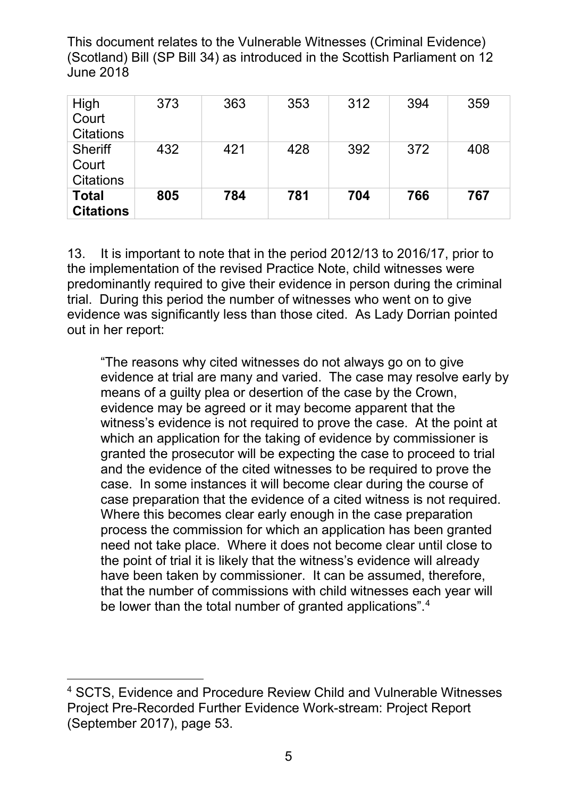| High<br>Court<br><b>Citations</b>           | 373 | 363 | 353 | 312 | 394 | 359 |
|---------------------------------------------|-----|-----|-----|-----|-----|-----|
| <b>Sheriff</b><br>Court<br><b>Citations</b> | 432 | 421 | 428 | 392 | 372 | 408 |
| <b>Total</b><br><b>Citations</b>            | 805 | 784 | 781 | 704 | 766 | 767 |

 13. It is important to note that in the period 2012/13 to 2016/17, prior to the implementation of the revised Practice Note, child witnesses were predominantly required to give their evidence in person during the criminal trial. During this period the number of witnesses who went on to give evidence was significantly less than those cited. As Lady Dorrian pointed out in her report:

 "The reasons why cited witnesses do not always go on to give evidence at trial are many and varied. The case may resolve early by witness's evidence is not required to prove the case. At the point at granted the prosecutor will be expecting the case to proceed to trial and the evidence of the cited witnesses to be required to prove the case. In some instances it will become clear during the course of case preparation that the evidence of a cited witness is not required. need not take place. Where it does not become clear until close to have been taken by commissioner. It can be assumed, therefore, be lower than the total number of granted applications".<sup>[4](#page-4-0)</sup> means of a guilty plea or desertion of the case by the Crown, evidence may be agreed or it may become apparent that the which an application for the taking of evidence by commissioner is Where this becomes clear early enough in the case preparation process the commission for which an application has been granted the point of trial it is likely that the witness's evidence will already that the number of commissions with child witnesses each year will

<span id="page-4-0"></span><sup>-</sup> Project Pre-Recorded Further Evidence Work-stream: Project Report (September 2017), page 53. 4 SCTS, Evidence and Procedure Review Child and Vulnerable Witnesses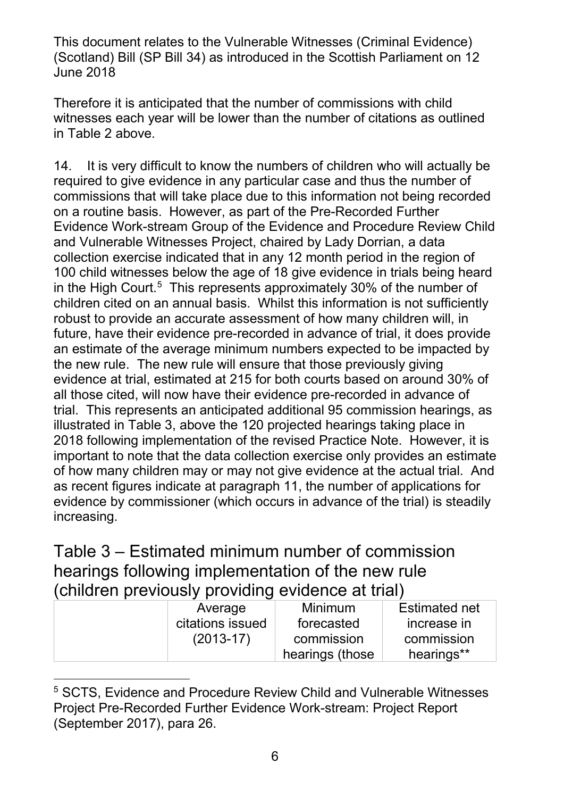witnesses each year will be lower than the number of citations as outlined in Table 2 above. Therefore it is anticipated that the number of commissions with child

 14. It is very difficult to know the numbers of children who will actually be required to give evidence in any particular case and thus the number of on a routine basis. However, as part of the Pre-Recorded Further Evidence Work-stream Group of the Evidence and Procedure Review Child and Vulnerable Witnesses Project, chaired by Lady Dorrian, a data collection exercise indicated that in any 12 month period in the region of in the High Court. $^5\,$  $^5\,$  $^5\,$  This represents approximately 30% of the number of children cited on an annual basis. Whilst this information is not sufficiently robust to provide an accurate assessment of how many children will, in important to note that the data collection exercise only provides an estimate of how many children may or may not give evidence at the actual trial. And as recent figures indicate at paragraph 11, the number of applications for commissions that will take place due to this information not being recorded 100 child witnesses below the age of 18 give evidence in trials being heard future, have their evidence pre-recorded in advance of trial, it does provide an estimate of the average minimum numbers expected to be impacted by the new rule. The new rule will ensure that those previously giving evidence at trial, estimated at 215 for both courts based on around 30% of all those cited, will now have their evidence pre-recorded in advance of trial. This represents an anticipated additional 95 commission hearings, as illustrated in Table 3, above the 120 projected hearings taking place in 2018 following implementation of the revised Practice Note. However, it is evidence by commissioner (which occurs in advance of the trial) is steadily increasing.

Table 3 – Estimated minimum number of commission hearings following implementation of the new rule (children previously providing evidence at trial)

| Average          | Minimum         | <b>Estimated net</b> |
|------------------|-----------------|----------------------|
| citations issued | forecasted      | increase in          |
| $(2013-17)$      | commission      | commission           |
|                  | hearings (those | hearings**           |

<span id="page-5-0"></span><sup>-</sup>5 SCTS, Evidence and Procedure Review Child and Vulnerable Witnesses Project Pre-Recorded Further Evidence Work-stream: Project Report (September 2017), para 26.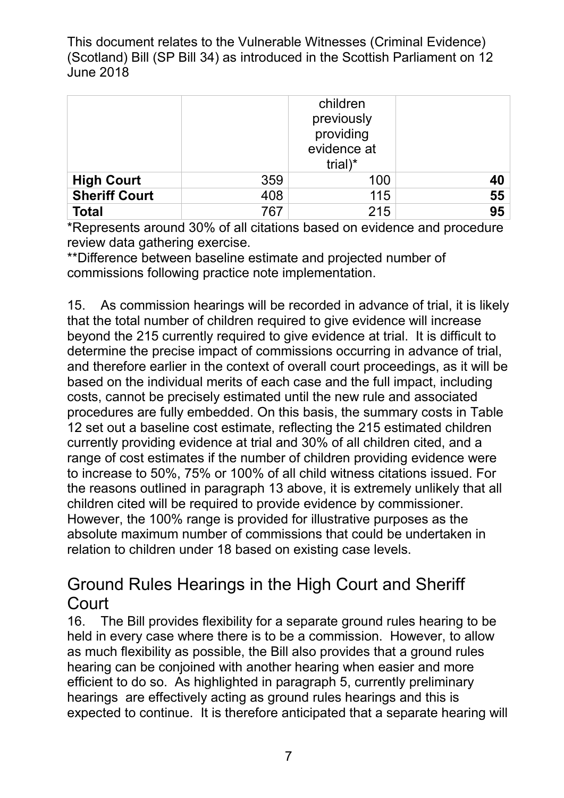|                      |     | children<br>previously<br>providing<br>evidence at<br>trial) $*$ |    |
|----------------------|-----|------------------------------------------------------------------|----|
| <b>High Court</b>    | 359 | 100                                                              | 40 |
| <b>Sheriff Court</b> | 408 | 115                                                              | 55 |
| <b>Total</b>         | 767 | 215                                                              | 95 |

\*Represents around 30% of all citations based on evidence and procedure review data gathering exercise.

 commissions following practice note implementation. \*\*Difference between baseline estimate and projected number of

 that the total number of children required to give evidence will increase beyond the 215 currently required to give evidence at trial. It is difficult to based on the individual merits of each case and the full impact, including procedures are fully embedded. On this basis, the summary costs in Table currently providing evidence at trial and 30% of all children cited, and a range of cost estimates if the number of children providing evidence were to increase to 50%, 75% or 100% of all child witness citations issued. For children cited will be required to provide evidence by commissioner. However, the 100% range is provided for illustrative purposes as the relation to children under 18 based on existing case levels. 15. As commission hearings will be recorded in advance of trial, it is likely determine the precise impact of commissions occurring in advance of trial, and therefore earlier in the context of overall court proceedings, as it will be costs, cannot be precisely estimated until the new rule and associated 12 set out a baseline cost estimate, reflecting the 215 estimated children the reasons outlined in paragraph 13 above, it is extremely unlikely that all absolute maximum number of commissions that could be undertaken in

# Ground Rules Hearings in the High Court and Sheriff **Court**

 as much flexibility as possible, the Bill also provides that a ground rules efficient to do so. As highlighted in paragraph 5, currently preliminary hearings are effectively acting as ground rules hearings and this is expected to continue. It is therefore anticipated that a separate hearing will 16. The Bill provides flexibility for a separate ground rules hearing to be held in every case where there is to be a commission. However, to allow hearing can be conjoined with another hearing when easier and more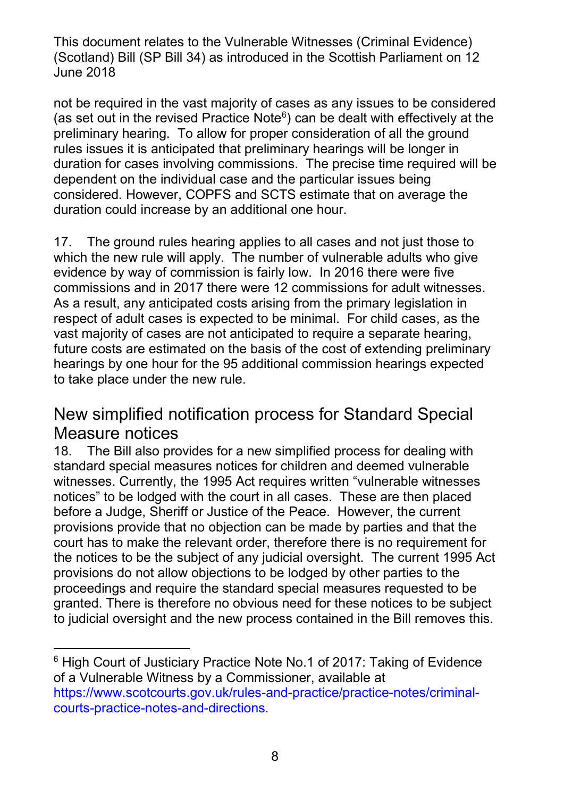not be required in the vast majority of cases as any issues to be considered preliminary hearing. To allow for proper consideration of all the ground rules issues it is anticipated that preliminary hearings will be longer in duration for cases involving commissions. The precise time required will be dependent on the individual case and the particular issues being considered. However, COPFS and SCTS estimate that on average the duration could increase by an additional one hour. (as set out in the revised Practice Note $6$ ) can be dealt with effectively at the

 17. The ground rules hearing applies to all cases and not just those to evidence by way of commission is fairly low. In 2016 there were five commissions and in 2017 there were 12 commissions for adult witnesses. commissions and in 2017 there were 12 commissions for adult witnesses.<br>As a result, any anticipated costs arising from the primary legislation in respect of adult cases is expected to be minimal. For child cases, as the vast majority of cases are not anticipated to require a separate hearing, future costs are estimated on the basis of the cost of extending preliminary which the new rule will apply. The number of vulnerable adults who give hearings by one hour for the 95 additional commission hearings expected to take place under the new rule.

#### New simplified notification process for Standard Special Measure notices

 18. The Bill also provides for a new simplified process for dealing with notices" to be lodged with the court in all cases. These are then placed before a Judge, Sheriff or Justice of the Peace. However, the current provisions provide that no objection can be made by parties and that the court has to make the relevant order, therefore there is no requirement for the notices to be the subject of any judicial oversight. The current 1995 Act provisions do not allow objections to be lodged by other parties to the granted. There is therefore no obvious need for these notices to be subject to judicial oversight and the new process contained in the Bill removes this. standard special measures notices for children and deemed vulnerable witnesses. Currently, the 1995 Act requires written "vulnerable witnesses proceedings and require the standard special measures requested to be

-

<span id="page-7-0"></span> $6$  High Court of Justiciary Practice Note No.1 of 2017: Taking of Evidence of a Vulnerable Witness by a Commissioner, available at [https://www.scotcourts.gov.uk/rules-and-practice/practice-notes/criminal](https://www.scotcourts.gov.uk/rules-and-practice/practice-notes/criminal-courts-practice-notes-and-directions)[courts-practice-notes-and-directions.](https://www.scotcourts.gov.uk/rules-and-practice/practice-notes/criminal-courts-practice-notes-and-directions)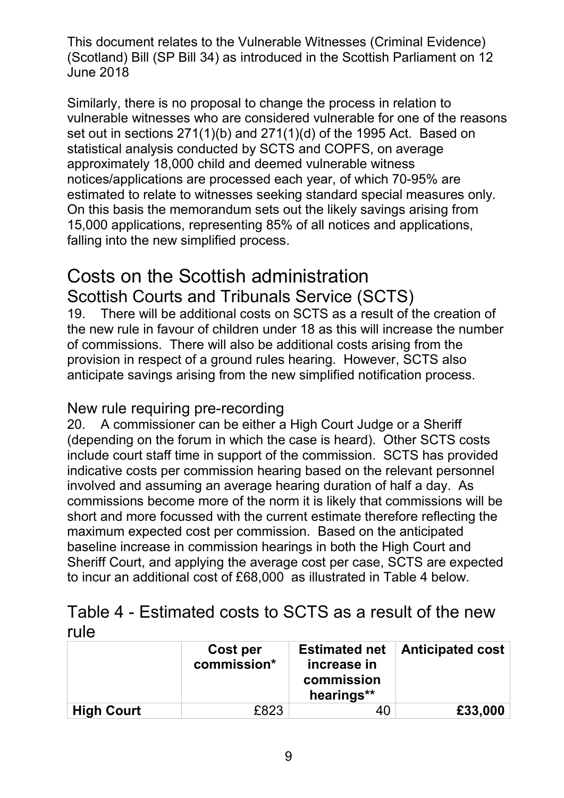vulnerable witnesses who are considered vulnerable for one of the reasons set out in sections 271(1)(b) and 271(1)(d) of the 1995 Act. Based on statistical analysis conducted by SCTS and COPFS, on average notices/applications are processed each year, of which 70-95% are estimated to relate to witnesses seeking standard special measures only. On this basis the memorandum sets out the likely savings arising from Similarly, there is no proposal to change the process in relation to approximately 18,000 child and deemed vulnerable witness 15,000 applications, representing 85% of all notices and applications, falling into the new simplified process.

# Scottish Courts and Tribunals Service (SCTS) Costs on the Scottish administration

 of commissions. There will also be additional costs arising from the provision in respect of a ground rules hearing. However, SCTS also anticipate savings arising from the new simplified notification process. 19. There will be additional costs on SCTS as a result of the creation of the new rule in favour of children under 18 as this will increase the number

#### New rule requiring pre-recording

 20. A commissioner can be either a High Court Judge or a Sheriff (depending on the forum in which the case is heard). Other SCTS costs include court staff time in support of the commission. SCTS has provided involved and assuming an average hearing duration of half a day. As short and more focussed with the current estimate therefore reflecting the indicative costs per commission hearing based on the relevant personnel commissions become more of the norm it is likely that commissions will be maximum expected cost per commission. Based on the anticipated baseline increase in commission hearings in both the High Court and Sheriff Court, and applying the average cost per case, SCTS are expected to incur an additional cost of £68,000 as illustrated in Table 4 below.

| Table 4 - Estimated costs to SCTS as a result of the new |  |  |
|----------------------------------------------------------|--|--|
| rule                                                     |  |  |

|                   | Cost per<br>commission* | <b>Estimated net</b><br>increase in<br>commission<br>hearings** | <b>Anticipated cost</b> |
|-------------------|-------------------------|-----------------------------------------------------------------|-------------------------|
| <b>High Court</b> | £823                    | 40                                                              | £33,000                 |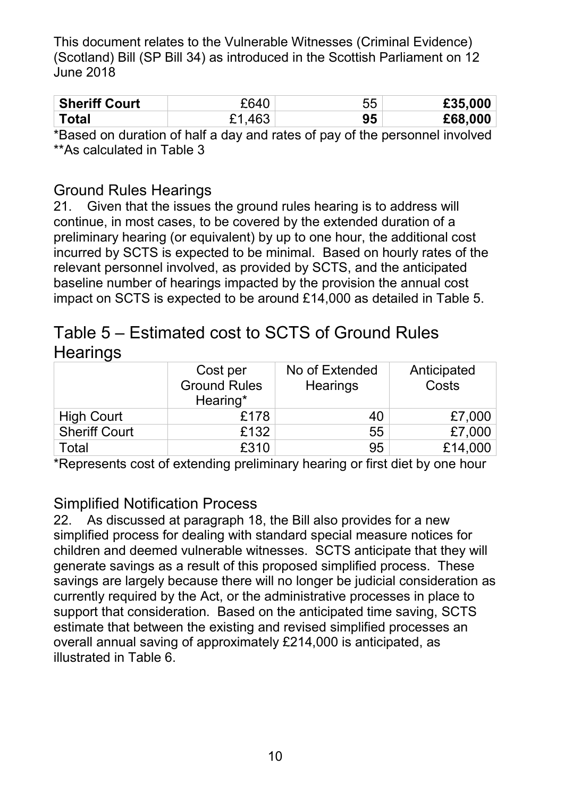| <b>Sheriff Court</b> | FAAC   | 55 | £35,000 |
|----------------------|--------|----|---------|
| Total                | £1.463 | 95 | £68,000 |

 \*Based on duration of half a day and rates of pay of the personnel involved \*\*As calculated in Table 3

#### Ground Rules Hearings

 preliminary hearing (or equivalent) by up to one hour, the additional cost incurred by SCTS is expected to be minimal. Based on hourly rates of the 21. Given that the issues the ground rules hearing is to address will continue, in most cases, to be covered by the extended duration of a relevant personnel involved, as provided by SCTS, and the anticipated baseline number of hearings impacted by the provision the annual cost impact on SCTS is expected to be around £14,000 as detailed in Table 5.

# Table 5 – Estimated cost to SCTS of Ground Rules **Hearings**

|                      | Cost per<br><b>Ground Rules</b><br>Hearing* | No of Extended<br><b>Hearings</b> | Anticipated<br>Costs |
|----------------------|---------------------------------------------|-----------------------------------|----------------------|
| <b>High Court</b>    | £178                                        | 40                                | £7,000               |
| <b>Sheriff Court</b> | £132                                        | 55                                | £7,000               |
| Total                | £310                                        | 95                                | £14,000              |

\*Represents cost of extending preliminary hearing or first diet by one hour

#### Simplified Notification Process

 22. As discussed at paragraph 18, the Bill also provides for a new simplified process for dealing with standard special measure notices for children and deemed vulnerable witnesses. SCTS anticipate that they will generate savings as a result of this proposed simplified process. These savings are largely because there will no longer be judicial consideration as currently required by the Act, or the administrative processes in place to support that consideration. Based on the anticipated time saving, SCTS overall annual saving of approximately £214,000 is anticipated, as estimate that between the existing and revised simplified processes an illustrated in Table 6.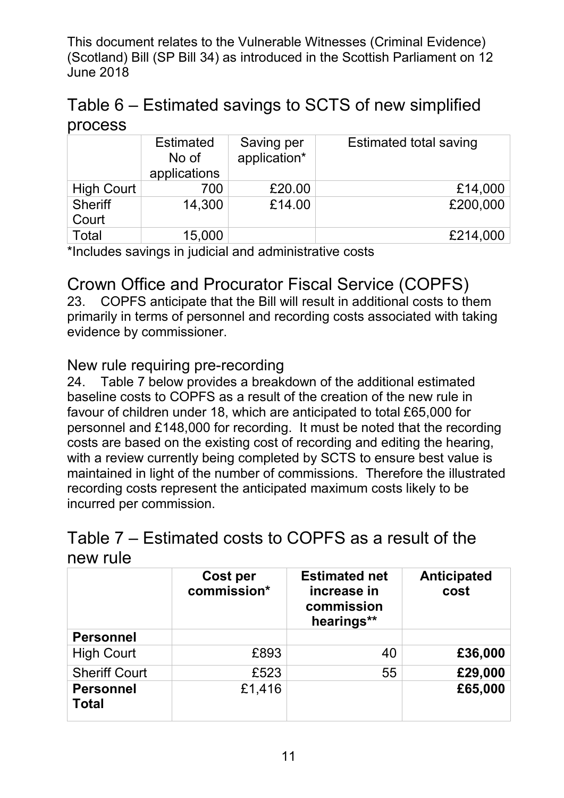## Table 6 – Estimated savings to SCTS of new simplified process

|                         | <b>Estimated</b><br>No of<br>applications | Saving per<br>application* | <b>Estimated total saving</b> |
|-------------------------|-------------------------------------------|----------------------------|-------------------------------|
| <b>High Court</b>       | 700                                       | £20.00                     | £14,000                       |
| <b>Sheriff</b><br>Court | 14,300                                    | £14.00                     | £200,000                      |
| Total                   | 15,000                                    |                            | £214,000                      |

\*Includes savings in judicial and administrative costs

## Crown Office and Procurator Fiscal Service (COPFS)

evidence by commissioner. 23. COPFS anticipate that the Bill will result in additional costs to them primarily in terms of personnel and recording costs associated with taking

#### New rule requiring pre-recording

 $24.$  favour of children under 18, which are anticipated to total £65,000 for personnel and £148,000 for recording. It must be noted that the recording costs are based on the existing cost of recording and editing the hearing, with a review currently being completed by SCTS to ensure best value is maintained in light of the number of commissions. Therefore the illustrated recording costs represent the anticipated maximum costs likely to be incurred per commission. Table 7 below provides a breakdown of the additional estimated baseline costs to COPFS as a result of the creation of the new rule in

### Table  $7$  – Estimated costs to COPFS as a result of the new rule

|                                  | <b>Cost per</b><br>commission* | <b>Estimated net</b><br>increase in<br>commission<br>hearings** | <b>Anticipated</b><br>cost |
|----------------------------------|--------------------------------|-----------------------------------------------------------------|----------------------------|
| <b>Personnel</b>                 |                                |                                                                 |                            |
| <b>High Court</b>                | £893                           | 40                                                              | £36,000                    |
| <b>Sheriff Court</b>             | £523                           | 55                                                              | £29,000                    |
| <b>Personnel</b><br><b>Total</b> | £1,416                         |                                                                 | £65,000                    |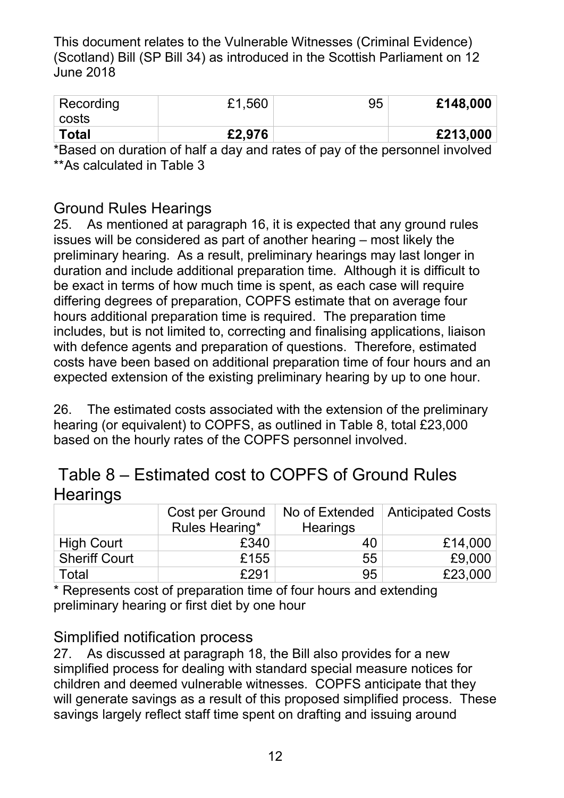| Recording<br>' costs | £1,560 | 95 | £148,000 |
|----------------------|--------|----|----------|
| <b>Total</b>         | £2,976 |    | £213,000 |

 \*Based on duration of half a day and rates of pay of the personnel involved \*\*As calculated in Table 3

#### Ground Rules Hearings

 issues will be considered as part of another hearing – most likely the duration and include additional preparation time. Although it is difficult to be exact in terms of how much time is spent, as each case will require includes, but is not limited to, correcting and finalising applications, liaison costs have been based on additional preparation time of four hours and an expected extension of the existing preliminary hearing by up to one hour. 25. As mentioned at paragraph 16, it is expected that any ground rules preliminary hearing. As a result, preliminary hearings may last longer in differing degrees of preparation, COPFS estimate that on average four hours additional preparation time is required. The preparation time with defence agents and preparation of questions. Therefore, estimated

expected extension of the existing preliminary hearing by up to one hour.<br>26. The estimated costs associated with the extension of the preliminary based on the hourly rates of the COPFS personnel involved. hearing (or equivalent) to COPFS, as outlined in Table 8, total £23,000

|          | Table 8 – Estimated cost to COPFS of Ground Rules |  |  |
|----------|---------------------------------------------------|--|--|
| Hearings |                                                   |  |  |

|                      | Cost per Ground |                 | No of Extended   Anticipated Costs |
|----------------------|-----------------|-----------------|------------------------------------|
|                      | Rules Hearing*  | <b>Hearings</b> |                                    |
| <b>High Court</b>    | £340            | 40              | £14,000                            |
| <b>Sheriff Court</b> | £155            | 55              | £9,000                             |
| Total                | £291            | 95              | £23,000                            |

 \* Represents cost of preparation time of four hours and extending preliminary hearing or first diet by one hour

#### Simplified notification process

 $27.$  simplified process for dealing with standard special measure notices for will generate savings as a result of this proposed simplified process. These savings largely reflect staff time spent on drafting and issuing around As discussed at paragraph 18, the Bill also provides for a new children and deemed vulnerable witnesses. COPFS anticipate that they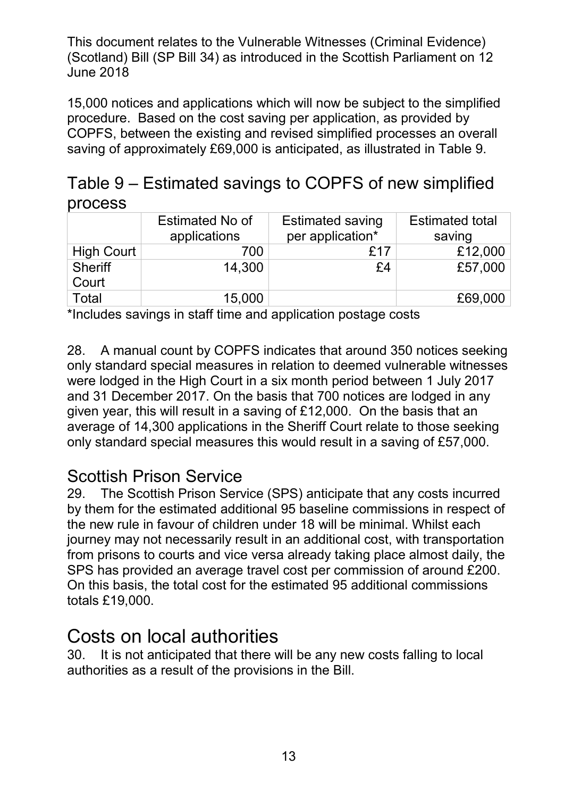15,000 notices and applications which will now be subject to the simplified procedure. Based on the cost saving per application, as provided by COPFS, between the existing and revised simplified processes an overall saving of approximately £69,000 is anticipated, as illustrated in Table 9.

|         | Table 9 – Estimated savings to COPFS of new simplified |  |
|---------|--------------------------------------------------------|--|
| process |                                                        |  |

|                         | <b>Estimated No of</b><br>applications | <b>Estimated saving</b><br>per application* | <b>Estimated total</b><br>saving |
|-------------------------|----------------------------------------|---------------------------------------------|----------------------------------|
| <b>High Court</b>       | 700                                    | £17                                         | £12,000                          |
| <b>Sheriff</b><br>Court | 14,300                                 | £4                                          | £57,000                          |
| <b>Total</b>            | 15,000                                 |                                             | £69,000                          |

\*Includes savings in staff time and application postage costs

 28. A manual count by COPFS indicates that around 350 notices seeking given year, this will result in a saving of £12,000. On the basis that an average of 14,300 applications in the Sheriff Court relate to those seeking only standard special measures in relation to deemed vulnerable witnesses were lodged in the High Court in a six month period between 1 July 2017 and 31 December 2017. On the basis that 700 notices are lodged in any only standard special measures this would result in a saving of £57,000.

#### Scottish Prison Service

 29. The Scottish Prison Service (SPS) anticipate that any costs incurred from prisons to courts and vice versa already taking place almost daily, the SPS has provided an average travel cost per commission of around £200. On this basis, the total cost for the estimated 95 additional commissions totals £19,000. by them for the estimated additional 95 baseline commissions in respect of the new rule in favour of children under 18 will be minimal. Whilst each journey may not necessarily result in an additional cost, with transportation

# Costs on local authorities

30. It is not anticipated that there will be any new costs falling to local authorities as a result of the provisions in the Bill.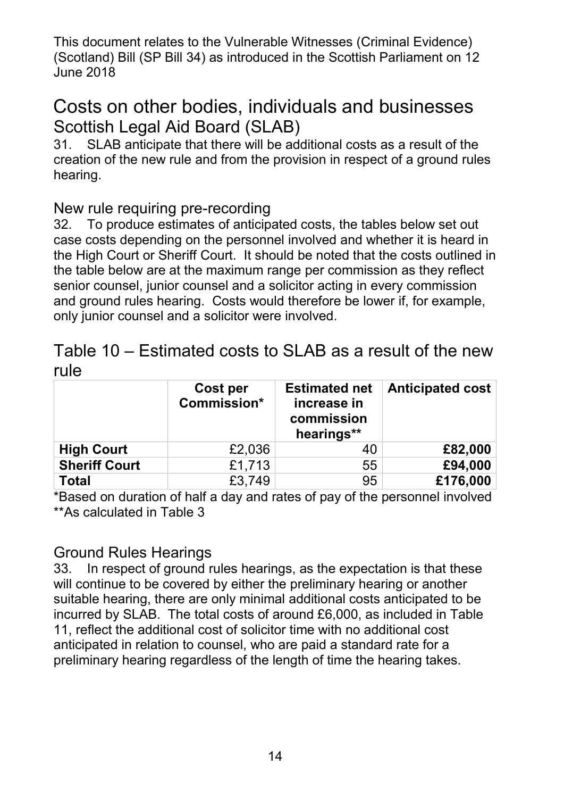# Costs on other bodies, individuals and businesses Scottish Legal Aid Board (SLAB)

 creation of the new rule and from the provision in respect of a ground rules 31. SLAB anticipate that there will be additional costs as a result of the hearing.

#### New rule requiring pre-recording

 32. To produce estimates of anticipated costs, the tables below set out the High Court or Sheriff Court. It should be noted that the costs outlined in the table below are at the maximum range per commission as they reflect case costs depending on the personnel involved and whether it is heard in senior counsel, junior counsel and a solicitor acting in every commission and ground rules hearing. Costs would therefore be lower if, for example, only junior counsel and a solicitor were involved.

### rule Table 10 – Estimated costs to SLAB as a result of the new

|                      | Cost per<br>Commission* | <b>Estimated net</b><br>increase in<br>commission<br>hearings** | Anticipated cost |
|----------------------|-------------------------|-----------------------------------------------------------------|------------------|
| <b>High Court</b>    | £2,036                  | 40                                                              | £82,000          |
| <b>Sheriff Court</b> | £1,713                  | 55                                                              | £94,000          |
| <b>Total</b>         | £3,749                  | 95                                                              | £176,000         |

 \*Based on duration of half a day and rates of pay of the personnel involved \*\*As calculated in Table 3

#### Ground Rules Hearings

 33. In respect of ground rules hearings, as the expectation is that these suitable hearing, there are only minimal additional costs anticipated to be incurred by SLAB. The total costs of around £6,000, as included in Table 11, reflect the additional cost of solicitor time with no additional cost will continue to be covered by either the preliminary hearing or another anticipated in relation to counsel, who are paid a standard rate for a preliminary hearing regardless of the length of time the hearing takes.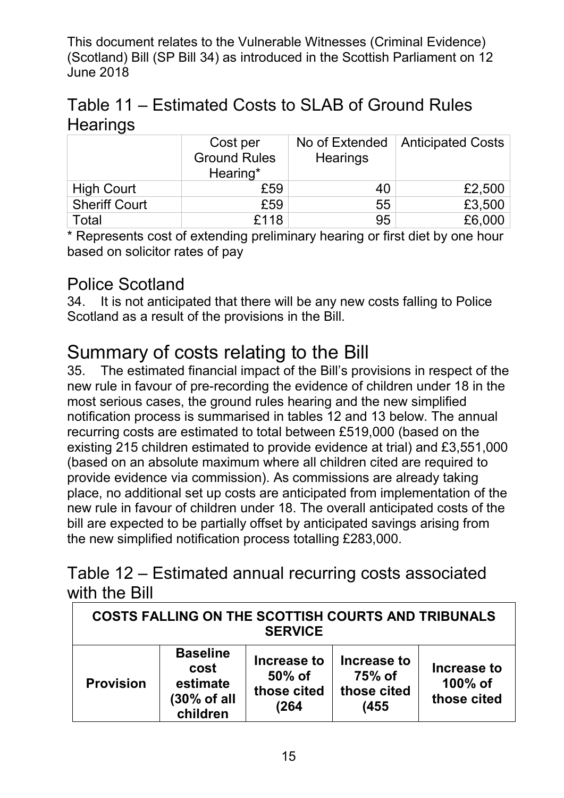| Table 11 – Estimated Costs to SLAB of Ground Rules |  |
|----------------------------------------------------|--|
| <b>Hearings</b>                                    |  |

|                      | Cost per<br><b>Ground Rules</b><br>Hearing* | No of Extended<br><b>Hearings</b> | Anticipated Costs |
|----------------------|---------------------------------------------|-----------------------------------|-------------------|
| <b>High Court</b>    | £59                                         | 40                                | £2,500            |
| <b>Sheriff Court</b> | £59                                         | 55                                | £3,500            |
| Total                | £118                                        | 95                                | £6,000            |

 \* Represents cost of extending preliminary hearing or first diet by one hour based on solicitor rates of pay

#### Police Scotland

 34. It is not anticipated that there will be any new costs falling to Police Scotland as a result of the provisions in the Bill.

# Summary of costs relating to the Bill

 new rule in favour of pre-recording the evidence of children under 18 in the most serious cases, the ground rules hearing and the new simplified notification process is summarised in tables 12 and 13 below. The annual recurring costs are estimated to total between £519,000 (based on the (based on an absolute maximum where all children cited are required to place, no additional set up costs are anticipated from implementation of the new rule in favour of children under 18. The overall anticipated costs of the bill are expected to be partially offset by anticipated savings arising from 35. The estimated financial impact of the Bill's provisions in respect of the existing 215 children estimated to provide evidence at trial) and £3,551,000 provide evidence via commission). As commissions are already taking the new simplified notification process totalling £283,000.

## Table 12 – Estimated annual recurring costs associated with the Bill

| COSTS FALLING ON THE SCOTTISH COURTS AND TRIBUNALS<br><b>SERVICE</b> |                                                                |                                              |                                              |                                       |
|----------------------------------------------------------------------|----------------------------------------------------------------|----------------------------------------------|----------------------------------------------|---------------------------------------|
| <b>Provision</b>                                                     | <b>Baseline</b><br>cost<br>estimate<br>(30% of all<br>children | Increase to<br>50% of<br>those cited<br>(264 | Increase to<br>75% of<br>those cited<br>(455 | Increase to<br>100% of<br>those cited |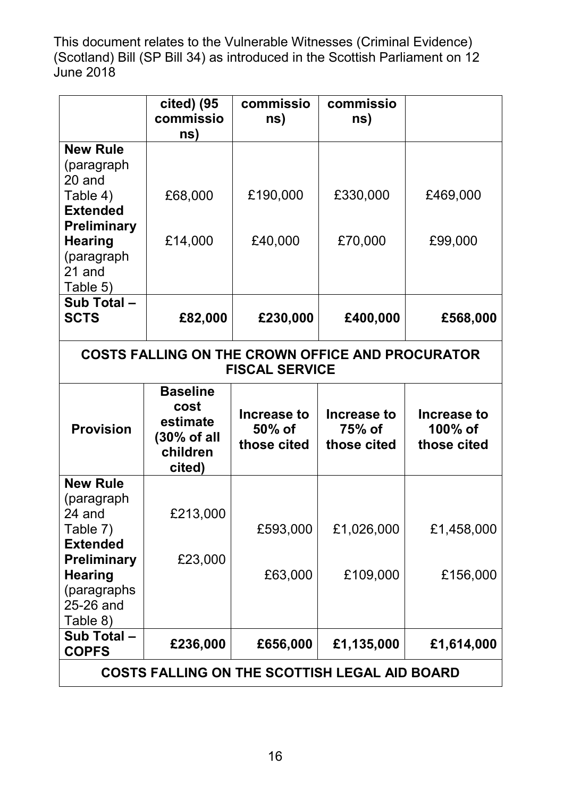|                             | cited) (95                                                        | commissio                               | commissio                                               |                                          |
|-----------------------------|-------------------------------------------------------------------|-----------------------------------------|---------------------------------------------------------|------------------------------------------|
|                             | commissio                                                         | ns)                                     | ns)                                                     |                                          |
|                             | ns)                                                               |                                         |                                                         |                                          |
| <b>New Rule</b>             |                                                                   |                                         |                                                         |                                          |
| (paragraph                  |                                                                   |                                         |                                                         |                                          |
| 20 and                      |                                                                   |                                         |                                                         |                                          |
| Table 4)<br><b>Extended</b> | £68,000                                                           | £190,000                                | £330,000                                                | £469,000                                 |
| <b>Preliminary</b>          |                                                                   |                                         |                                                         |                                          |
| <b>Hearing</b>              | £14,000                                                           | £40,000                                 | £70,000                                                 | £99,000                                  |
| (paragraph                  |                                                                   |                                         |                                                         |                                          |
| 21 and                      |                                                                   |                                         |                                                         |                                          |
| Table 5)                    |                                                                   |                                         |                                                         |                                          |
| Sub Total-                  |                                                                   |                                         |                                                         |                                          |
| <b>SCTS</b>                 | £82,000                                                           | £230,000                                | £400,000                                                | £568,000                                 |
|                             |                                                                   |                                         |                                                         |                                          |
|                             |                                                                   |                                         | <b>COSTS FALLING ON THE CROWN OFFICE AND PROCURATOR</b> |                                          |
|                             |                                                                   | <b>FISCAL SERVICE</b>                   |                                                         |                                          |
|                             | <b>Baseline</b>                                                   |                                         |                                                         |                                          |
| <b>Provision</b>            | cost<br>estimate<br>$(30\% \text{ of all }$<br>children<br>cited) | Increase to<br>$50\%$ of<br>those cited | Increase to<br>75% of<br>those cited                    | Increase to<br>$100\%$ of<br>those cited |
| <b>New Rule</b>             |                                                                   |                                         |                                                         |                                          |
| (paragraph                  |                                                                   |                                         |                                                         |                                          |
| 24 and                      | £213,000                                                          |                                         |                                                         |                                          |
| Table 7)                    |                                                                   | £593,000                                | £1,026,000                                              | £1,458,000                               |
| <b>Extended</b>             |                                                                   |                                         |                                                         |                                          |
| <b>Preliminary</b>          | £23,000                                                           |                                         |                                                         |                                          |
| <b>Hearing</b>              |                                                                   | £63,000                                 | £109,000                                                | £156,000                                 |
| (paragraphs<br>25-26 and    |                                                                   |                                         |                                                         |                                          |
| Table 8)                    |                                                                   |                                         |                                                         |                                          |
| Sub Total-                  |                                                                   |                                         |                                                         |                                          |
| <b>COPFS</b>                | £236,000                                                          | £656,000                                | £1,135,000                                              | £1,614,000                               |
|                             |                                                                   |                                         | <b>COSTS FALLING ON THE SCOTTISH LEGAL AID BOARD</b>    |                                          |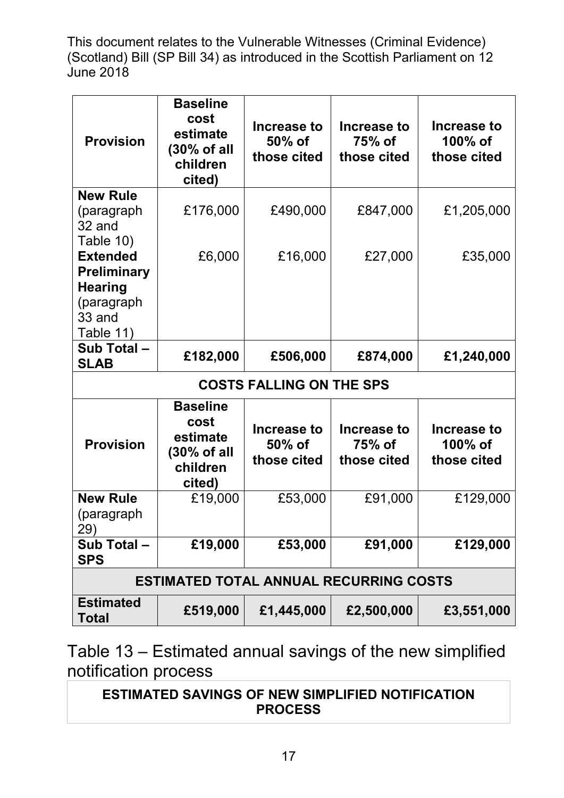| <b>Provision</b>          | <b>Baseline</b><br>cost<br>estimate<br>$(30\% \text{ of all }$<br>children<br>cited) | Increase to<br>50% of<br>those cited | Increase to<br>75% of<br>those cited | Increase to<br>100% of<br>those cited        |
|---------------------------|--------------------------------------------------------------------------------------|--------------------------------------|--------------------------------------|----------------------------------------------|
| <b>New Rule</b>           |                                                                                      |                                      |                                      |                                              |
| (paragraph<br>32 and      | £176,000                                                                             | £490,000                             | £847,000                             | £1,205,000                                   |
| Table 10)                 |                                                                                      |                                      |                                      |                                              |
| <b>Extended</b>           | £6,000                                                                               | £16,000                              | £27,000                              | £35,000                                      |
| <b>Preliminary</b>        |                                                                                      |                                      |                                      |                                              |
| <b>Hearing</b>            |                                                                                      |                                      |                                      |                                              |
| (paragraph<br>33 and      |                                                                                      |                                      |                                      |                                              |
| Table 11)                 |                                                                                      |                                      |                                      |                                              |
| Sub Total-<br><b>SLAB</b> | £182,000                                                                             | £506,000                             | £874,000                             | £1,240,000                                   |
|                           |                                                                                      | <b>COSTS FALLING ON THE SPS</b>      |                                      |                                              |
|                           | <b>Baseline</b>                                                                      |                                      |                                      |                                              |
| <b>Provision</b>          | cost<br>estimate<br>$(30\% \text{ of all})$<br>children<br>cited)                    | Increase to<br>50% of<br>those cited | Increase to<br>75% of<br>those cited | <b>Increase to</b><br>100% of<br>those cited |
| <b>New Rule</b>           | £19,000                                                                              | £53,000                              | £91,000                              | £129,000                                     |
| (paragraph<br>29)         |                                                                                      |                                      |                                      |                                              |
| Sub Total-<br><b>SPS</b>  | £19,000                                                                              | £53,000                              | £91,000                              | £129,000                                     |
|                           | <b>ESTIMATED TOTAL ANNUAL RECURRING COSTS</b>                                        |                                      |                                      |                                              |
| <b>Estimated</b><br>Total | £519,000                                                                             | £1,445,000                           | £2,500,000                           | £3,551,000                                   |

Table 13 – Estimated annual savings of the new simplified notification process

**ESTIMATED SAVINGS OF NEW SIMPLIFIED NOTIFICATION PROCESS**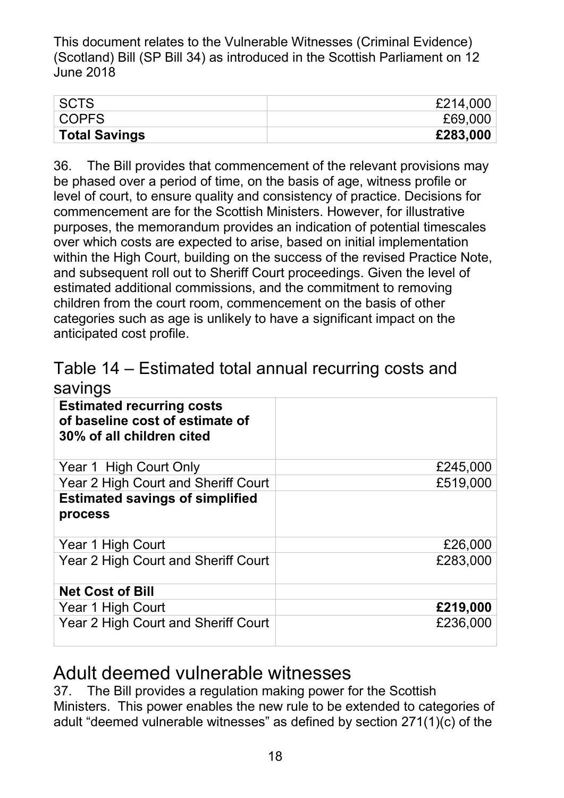| ∣ SCTS               | £214,000 |
|----------------------|----------|
| COPFS                | £69,000  |
| <b>Total Savings</b> | £283,000 |

 36. The Bill provides that commencement of the relevant provisions may be phased over a period of time, on the basis of age, witness profile or level of court, to ensure quality and consistency of practice. Decisions for over which costs are expected to arise, based on initial implementation within the High Court, building on the success of the revised Practice Note, children from the court room, commencement on the basis of other categories such as age is unlikely to have a significant impact on the anticipated cost profile. commencement are for the Scottish Ministers. However, for illustrative purposes, the memorandum provides an indication of potential timescales and subsequent roll out to Sheriff Court proceedings. Given the level of estimated additional commissions, and the commitment to removing

| Table 14 – Estimated total annual recurring costs and<br>savings |  |
|------------------------------------------------------------------|--|
| anticipated cost profile.                                        |  |

| <b>Estimated recurring costs</b><br>of baseline cost of estimate of<br>30% of all children cited |          |
|--------------------------------------------------------------------------------------------------|----------|
| Year 1 High Court Only                                                                           | £245,000 |
| Year 2 High Court and Sheriff Court                                                              | £519,000 |
| <b>Estimated savings of simplified</b><br>process                                                |          |
| Year 1 High Court                                                                                | £26,000  |
| Year 2 High Court and Sheriff Court                                                              | £283,000 |
| <b>Net Cost of Bill</b>                                                                          |          |
| Year 1 High Court                                                                                | £219,000 |
| Year 2 High Court and Sheriff Court                                                              | £236,000 |

# Adult deemed vulnerable witnesses

 Ministers. This power enables the new rule to be extended to categories of adult "deemed vulnerable witnesses" as defined by section 271(1)(c) of the 37. The Bill provides a regulation making power for the Scottish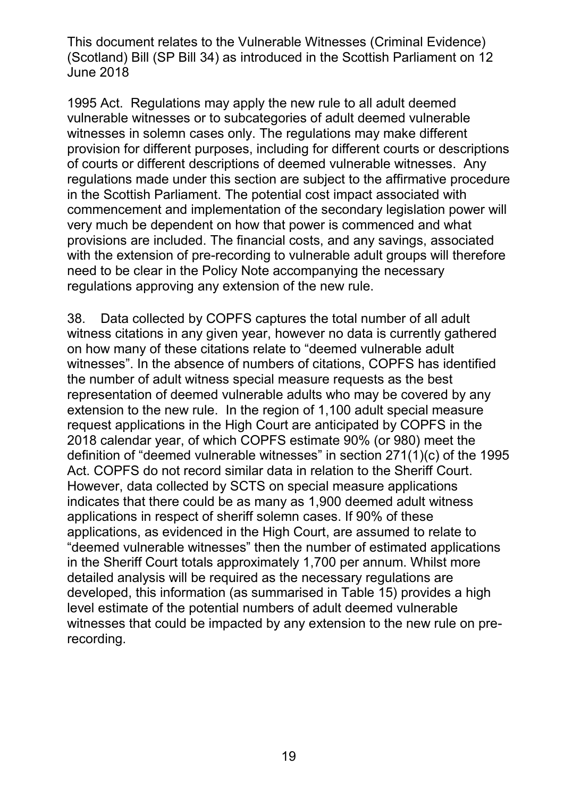1995 Act. Regulations may apply the new rule to all adult deemed witnesses in solemn cases only. The regulations may make different of courts or different descriptions of deemed vulnerable witnesses. Any regulations made under this section are subject to the affirmative procedure very much be dependent on how that power is commenced and what with the extension of pre-recording to vulnerable adult groups will therefore need to be clear in the Policy Note accompanying the necessary vulnerable witnesses or to subcategories of adult deemed vulnerable provision for different purposes, including for different courts or descriptions in the Scottish Parliament. The potential cost impact associated with commencement and implementation of the secondary legislation power will provisions are included. The financial costs, and any savings, associated regulations approving any extension of the new rule.

 38. Data collected by COPFS captures the total number of all adult witnesses". In the absence of numbers of citations, COPFS has identified the number of adult witness special measure requests as the best extension to the new rule. In the region of 1,100 adult special measure request applications in the High Court are anticipated by COPFS in the definition of "deemed vulnerable witnesses" in section 271(1)(c) of the 1995 Act. COPFS do not record similar data in relation to the Sheriff Court. indicates that there could be as many as 1,900 deemed adult witness applications in respect of sheriff solemn cases. If 90% of these witness citations in any given year, however no data is currently gathered on how many of these citations relate to "deemed vulnerable adult representation of deemed vulnerable adults who may be covered by any 2018 calendar year, of which COPFS estimate 90% (or 980) meet the However, data collected by SCTS on special measure applications applications, as evidenced in the High Court, are assumed to relate to "deemed vulnerable witnesses" then the number of estimated applications in the Sheriff Court totals approximately 1,700 per annum. Whilst more detailed analysis will be required as the necessary regulations are developed, this information (as summarised in Table 15) provides a high level estimate of the potential numbers of adult deemed vulnerable witnesses that could be impacted by any extension to the new rule on prerecording.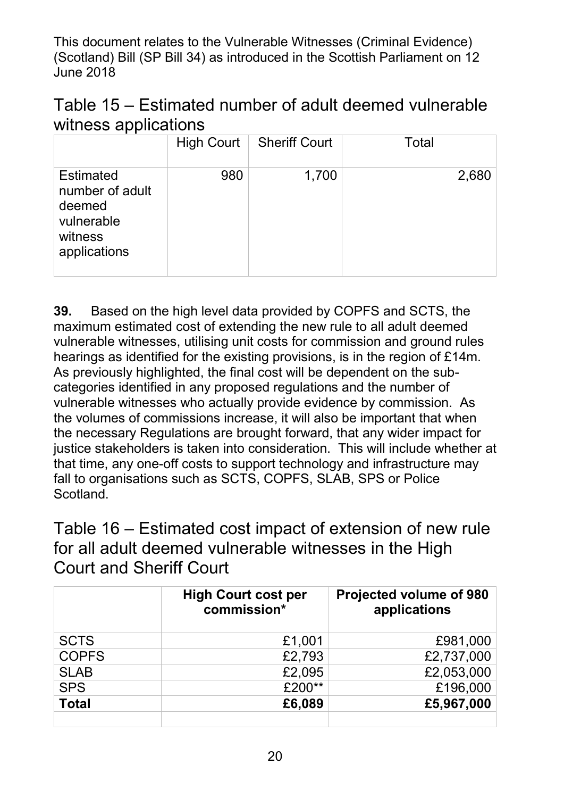| Table 15 – Estimated number of adult deemed vulnerable |  |
|--------------------------------------------------------|--|
| witness applications                                   |  |

|                                                                                        | High Court $\vert$ | <b>Sheriff Court</b> | Total |
|----------------------------------------------------------------------------------------|--------------------|----------------------|-------|
| <b>Estimated</b><br>number of adult<br>deemed<br>vulnerable<br>witness<br>applications | 980                | 1,700                | 2,680 |

 **39.** Based on the high level data provided by COPFS and SCTS, the maximum estimated cost of extending the new rule to all adult deemed vulnerable witnesses, utilising unit costs for commission and ground rules As previously highlighted, the final cost will be dependent on the sub- categories identified in any proposed regulations and the number of vulnerable witnesses who actually provide evidence by commission. As the volumes of commissions increase, it will also be important that when the necessary Regulations are brought forward, that any wider impact for that time, any one-off costs to support technology and infrastructure may hearings as identified for the existing provisions, is in the region of £14m. justice stakeholders is taken into consideration. This will include whether at fall to organisations such as SCTS, COPFS, SLAB, SPS or Police Scotland.

 Table 16 – Estimated cost impact of extension of new rule for all adult deemed vulnerable witnesses in the High Court and Sheriff Court

|              | <b>High Court cost per</b><br>commission* | <b>Projected volume of 980</b><br>applications |
|--------------|-------------------------------------------|------------------------------------------------|
| <b>SCTS</b>  | £1,001                                    | £981,000                                       |
| <b>COPFS</b> | £2,793                                    | £2,737,000                                     |
| <b>SLAB</b>  | £2,095                                    | £2,053,000                                     |
| <b>SPS</b>   | £200**                                    | £196,000                                       |
| <b>Total</b> | £6,089                                    | £5,967,000                                     |
|              |                                           |                                                |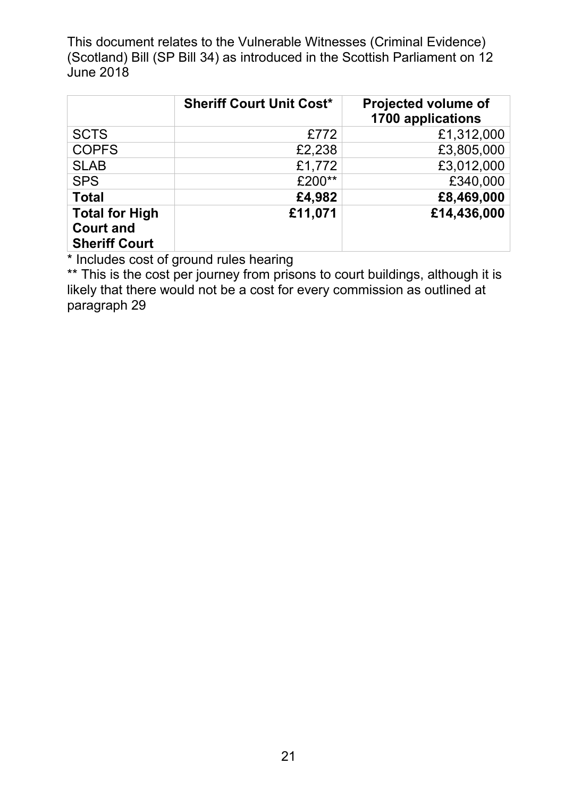|                                                                   | <b>Sheriff Court Unit Cost*</b> | <b>Projected volume of</b><br>1700 applications |
|-------------------------------------------------------------------|---------------------------------|-------------------------------------------------|
| <b>SCTS</b>                                                       | £772                            | £1,312,000                                      |
| <b>COPFS</b>                                                      | £2,238                          | £3,805,000                                      |
| <b>SLAB</b>                                                       | £1,772                          | £3,012,000                                      |
| <b>SPS</b>                                                        | £200**                          | £340,000                                        |
| <b>Total</b>                                                      | £4,982                          | £8,469,000                                      |
| <b>Total for High</b><br><b>Court and</b><br><b>Sheriff Court</b> | £11,071                         | £14,436,000                                     |

\* Includes cost of ground rules hearing

\*\* This is the cost per journey from prisons to court buildings, although it is likely that there would not be a cost for every commission as outlined at paragraph 29